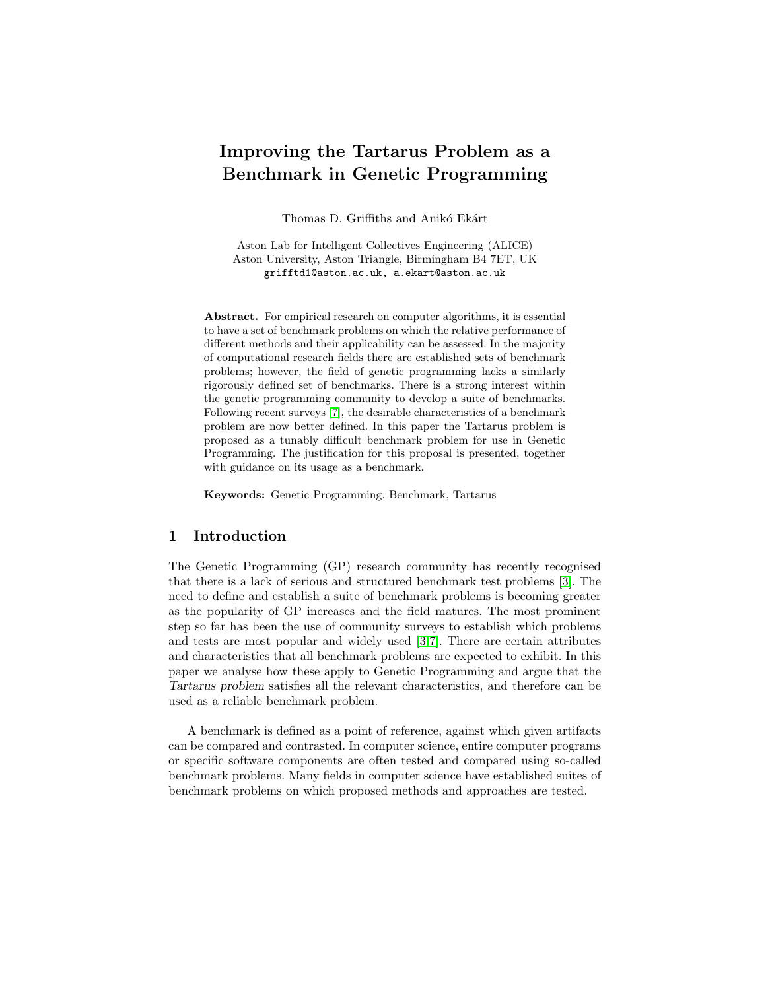# Improving the Tartarus Problem as a Benchmark in Genetic Programming

Thomas D. Griffiths and Anikó Ekárt

Aston Lab for Intelligent Collectives Engineering (ALICE) Aston University, Aston Triangle, Birmingham B4 7ET, UK grifftd1@aston.ac.uk, a.ekart@aston.ac.uk

Abstract. For empirical research on computer algorithms, it is essential to have a set of benchmark problems on which the relative performance of different methods and their applicability can be assessed. In the majority of computational research fields there are established sets of benchmark problems; however, the field of genetic programming lacks a similarly rigorously defined set of benchmarks. There is a strong interest within the genetic programming community to develop a suite of benchmarks. Following recent surveys [\[7\]](#page-15-0), the desirable characteristics of a benchmark problem are now better defined. In this paper the Tartarus problem is proposed as a tunably difficult benchmark problem for use in Genetic Programming. The justification for this proposal is presented, together with guidance on its usage as a benchmark.

Keywords: Genetic Programming, Benchmark, Tartarus

### 1 Introduction

The Genetic Programming (GP) research community has recently recognised that there is a lack of serious and structured benchmark test problems [\[3\]](#page-15-1). The need to define and establish a suite of benchmark problems is becoming greater as the popularity of GP increases and the field matures. The most prominent step so far has been the use of community surveys to establish which problems and tests are most popular and widely used [\[3,](#page-15-1)[7\]](#page-15-0). There are certain attributes and characteristics that all benchmark problems are expected to exhibit. In this paper we analyse how these apply to Genetic Programming and argue that the Tartarus problem satisfies all the relevant characteristics, and therefore can be used as a reliable benchmark problem.

A benchmark is defined as a point of reference, against which given artifacts can be compared and contrasted. In computer science, entire computer programs or specific software components are often tested and compared using so-called benchmark problems. Many fields in computer science have established suites of benchmark problems on which proposed methods and approaches are tested.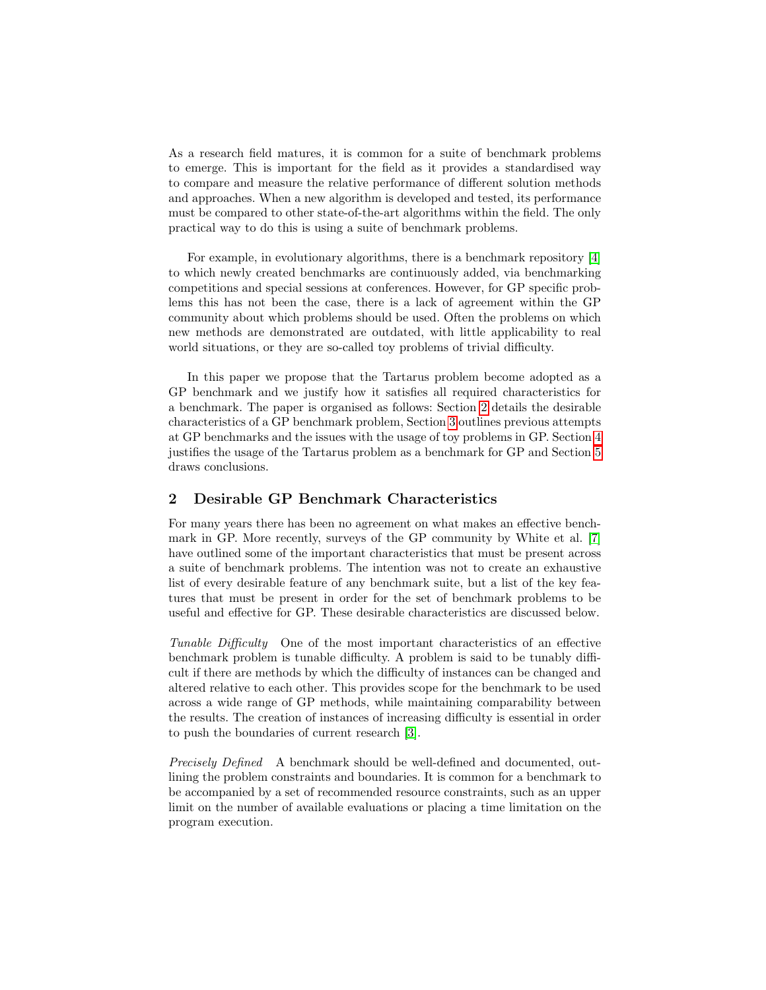As a research field matures, it is common for a suite of benchmark problems to emerge. This is important for the field as it provides a standardised way to compare and measure the relative performance of different solution methods and approaches. When a new algorithm is developed and tested, its performance must be compared to other state-of-the-art algorithms within the field. The only practical way to do this is using a suite of benchmark problems.

For example, in evolutionary algorithms, there is a benchmark repository [\[4\]](#page-15-2) to which newly created benchmarks are continuously added, via benchmarking competitions and special sessions at conferences. However, for GP specific problems this has not been the case, there is a lack of agreement within the GP community about which problems should be used. Often the problems on which new methods are demonstrated are outdated, with little applicability to real world situations, or they are so-called toy problems of trivial difficulty.

In this paper we propose that the Tartarus problem become adopted as a GP benchmark and we justify how it satisfies all required characteristics for a benchmark. The paper is organised as follows: Section [2](#page-1-0) details the desirable characteristics of a GP benchmark problem, Section [3](#page-3-0) outlines previous attempts at GP benchmarks and the issues with the usage of toy problems in GP. Section [4](#page-6-0) justifies the usage of the Tartarus problem as a benchmark for GP and Section [5](#page-14-0) draws conclusions.

### <span id="page-1-0"></span>2 Desirable GP Benchmark Characteristics

For many years there has been no agreement on what makes an effective benchmark in GP. More recently, surveys of the GP community by White et al. [\[7\]](#page-15-0) have outlined some of the important characteristics that must be present across a suite of benchmark problems. The intention was not to create an exhaustive list of every desirable feature of any benchmark suite, but a list of the key features that must be present in order for the set of benchmark problems to be useful and effective for GP. These desirable characteristics are discussed below.

Tunable Difficulty One of the most important characteristics of an effective benchmark problem is tunable difficulty. A problem is said to be tunably difficult if there are methods by which the difficulty of instances can be changed and altered relative to each other. This provides scope for the benchmark to be used across a wide range of GP methods, while maintaining comparability between the results. The creation of instances of increasing difficulty is essential in order to push the boundaries of current research [\[3\]](#page-15-1).

Precisely Defined A benchmark should be well-defined and documented, outlining the problem constraints and boundaries. It is common for a benchmark to be accompanied by a set of recommended resource constraints, such as an upper limit on the number of available evaluations or placing a time limitation on the program execution.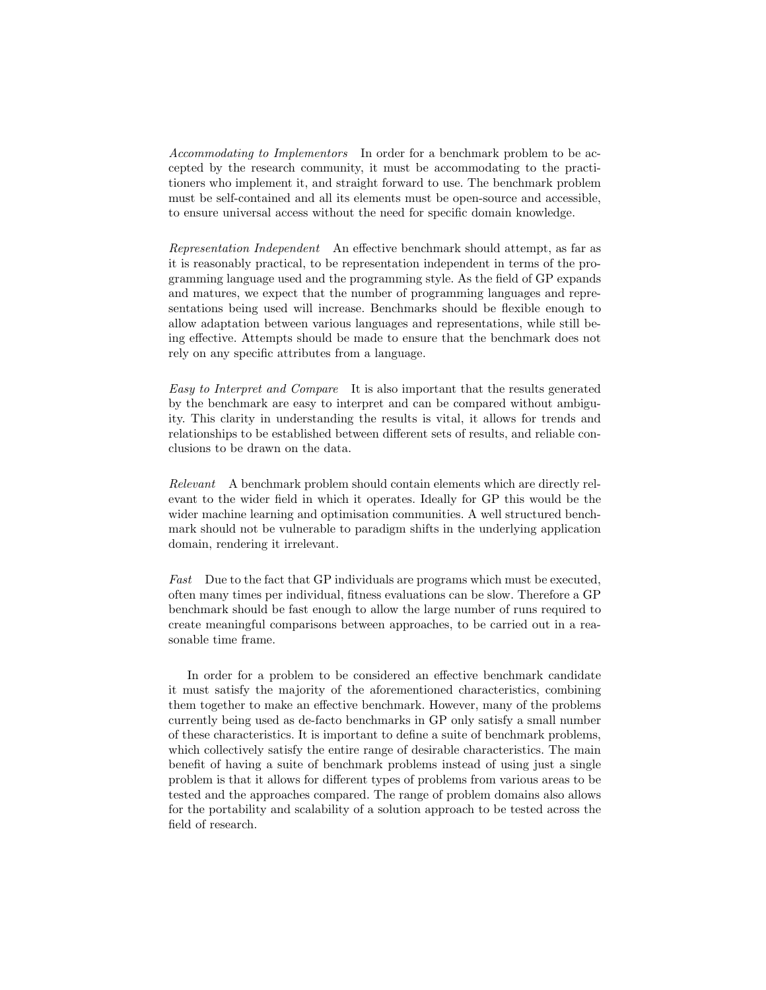Accommodating to Implementors In order for a benchmark problem to be accepted by the research community, it must be accommodating to the practitioners who implement it, and straight forward to use. The benchmark problem must be self-contained and all its elements must be open-source and accessible, to ensure universal access without the need for specific domain knowledge.

Representation Independent An effective benchmark should attempt, as far as it is reasonably practical, to be representation independent in terms of the programming language used and the programming style. As the field of GP expands and matures, we expect that the number of programming languages and representations being used will increase. Benchmarks should be flexible enough to allow adaptation between various languages and representations, while still being effective. Attempts should be made to ensure that the benchmark does not rely on any specific attributes from a language.

Easy to Interpret and Compare It is also important that the results generated by the benchmark are easy to interpret and can be compared without ambiguity. This clarity in understanding the results is vital, it allows for trends and relationships to be established between different sets of results, and reliable conclusions to be drawn on the data.

Relevant A benchmark problem should contain elements which are directly relevant to the wider field in which it operates. Ideally for GP this would be the wider machine learning and optimisation communities. A well structured benchmark should not be vulnerable to paradigm shifts in the underlying application domain, rendering it irrelevant.

Fast Due to the fact that GP individuals are programs which must be executed, often many times per individual, fitness evaluations can be slow. Therefore a GP benchmark should be fast enough to allow the large number of runs required to create meaningful comparisons between approaches, to be carried out in a reasonable time frame.

In order for a problem to be considered an effective benchmark candidate it must satisfy the majority of the aforementioned characteristics, combining them together to make an effective benchmark. However, many of the problems currently being used as de-facto benchmarks in GP only satisfy a small number of these characteristics. It is important to define a suite of benchmark problems, which collectively satisfy the entire range of desirable characteristics. The main benefit of having a suite of benchmark problems instead of using just a single problem is that it allows for different types of problems from various areas to be tested and the approaches compared. The range of problem domains also allows for the portability and scalability of a solution approach to be tested across the field of research.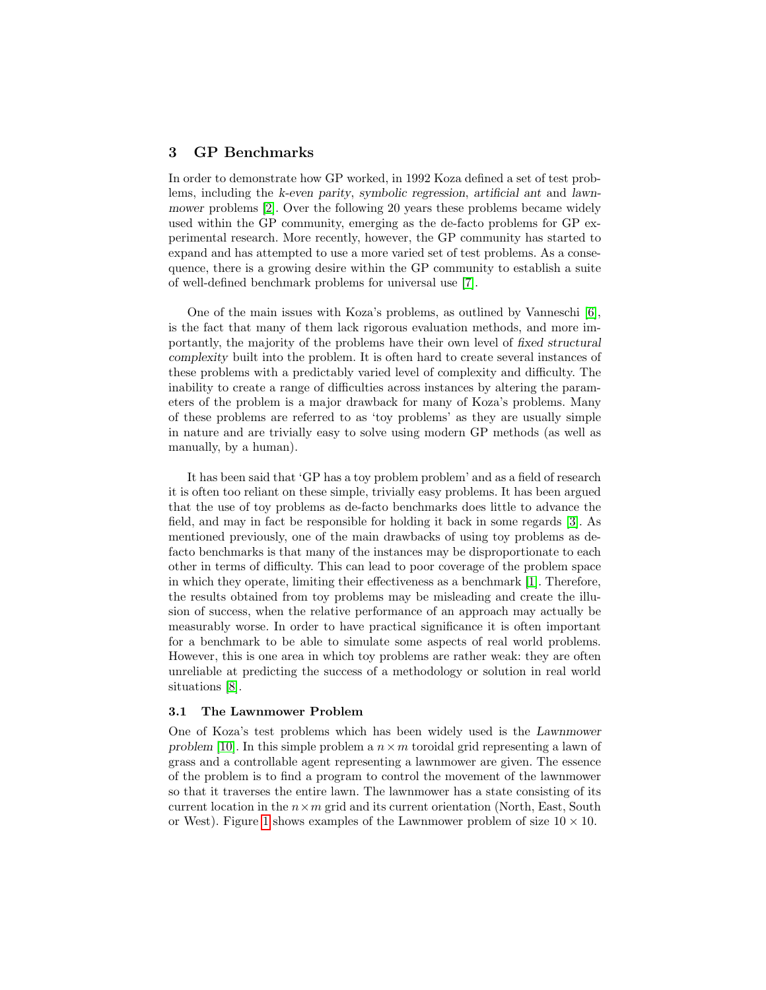### <span id="page-3-0"></span>3 GP Benchmarks

In order to demonstrate how GP worked, in 1992 Koza defined a set of test problems, including the k-even parity, symbolic regression, artificial ant and lawnmower problems [\[2\]](#page-15-3). Over the following 20 years these problems became widely used within the GP community, emerging as the de-facto problems for GP experimental research. More recently, however, the GP community has started to expand and has attempted to use a more varied set of test problems. As a consequence, there is a growing desire within the GP community to establish a suite of well-defined benchmark problems for universal use [\[7\]](#page-15-0).

One of the main issues with Koza's problems, as outlined by Vanneschi [\[6\]](#page-15-4), is the fact that many of them lack rigorous evaluation methods, and more importantly, the majority of the problems have their own level of fixed structural complexity built into the problem. It is often hard to create several instances of these problems with a predictably varied level of complexity and difficulty. The inability to create a range of difficulties across instances by altering the parameters of the problem is a major drawback for many of Koza's problems. Many of these problems are referred to as 'toy problems' as they are usually simple in nature and are trivially easy to solve using modern GP methods (as well as manually, by a human).

It has been said that 'GP has a toy problem problem' and as a field of research it is often too reliant on these simple, trivially easy problems. It has been argued that the use of toy problems as de-facto benchmarks does little to advance the field, and may in fact be responsible for holding it back in some regards [\[3\]](#page-15-1). As mentioned previously, one of the main drawbacks of using toy problems as defacto benchmarks is that many of the instances may be disproportionate to each other in terms of difficulty. This can lead to poor coverage of the problem space in which they operate, limiting their effectiveness as a benchmark [\[1\]](#page-15-5). Therefore, the results obtained from toy problems may be misleading and create the illusion of success, when the relative performance of an approach may actually be measurably worse. In order to have practical significance it is often important for a benchmark to be able to simulate some aspects of real world problems. However, this is one area in which toy problems are rather weak: they are often unreliable at predicting the success of a methodology or solution in real world situations [\[8\]](#page-15-6).

#### 3.1 The Lawnmower Problem

One of Koza's test problems which has been widely used is the Lawnmower problem [\[10\]](#page-15-7). In this simple problem a  $n \times m$  toroidal grid representing a lawn of grass and a controllable agent representing a lawnmower are given. The essence of the problem is to find a program to control the movement of the lawnmower so that it traverses the entire lawn. The lawnmower has a state consisting of its current location in the  $n \times m$  grid and its current orientation (North, East, South or West). Figure [1](#page-4-0) shows examples of the Lawnmower problem of size  $10 \times 10$ .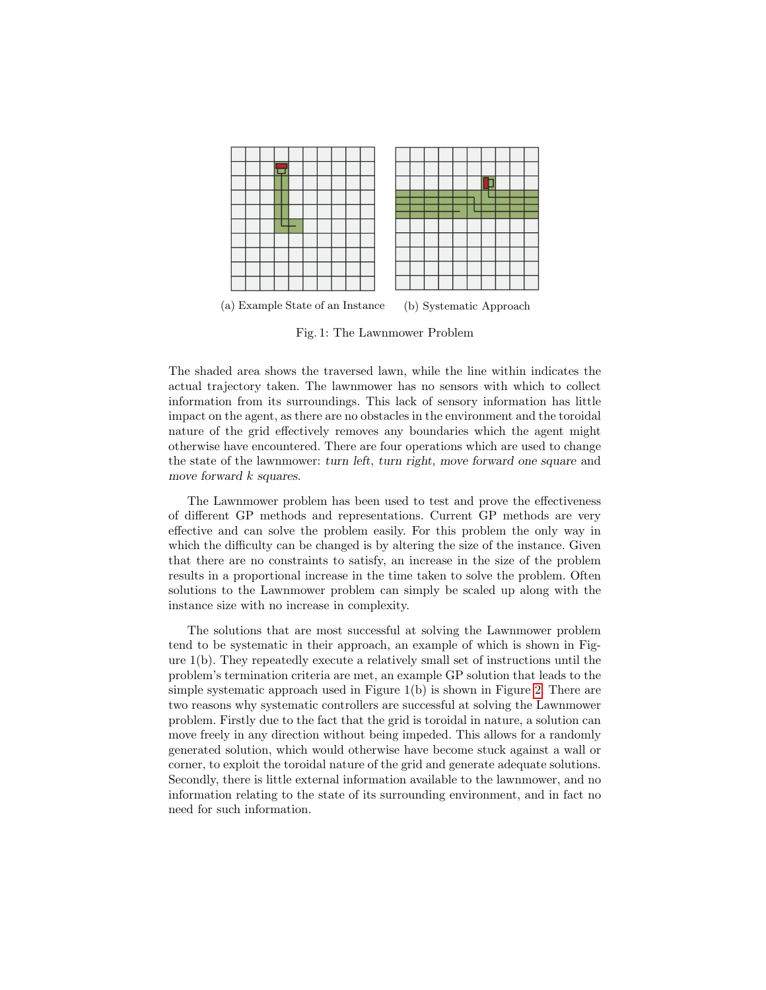<span id="page-4-0"></span>

Fig. 1: The Lawnmower Problem

The shaded area shows the traversed lawn, while the line within indicates the actual trajectory taken. The lawnmower has no sensors with which to collect information from its surroundings. This lack of sensory information has little impact on the agent, as there are no obstacles in the environment and the toroidal nature of the grid effectively removes any boundaries which the agent might otherwise have encountered. There are four operations which are used to change the state of the lawnmower: turn left, turn right, move forward one square and move forward k squares.

The Lawnmower problem has been used to test and prove the effectiveness of different GP methods and representations. Current GP methods are very effective and can solve the problem easily. For this problem the only way in which the difficulty can be changed is by altering the size of the instance. Given that there are no constraints to satisfy, an increase in the size of the problem results in a proportional increase in the time taken to solve the problem. Often solutions to the Lawnmower problem can simply be scaled up along with the instance size with no increase in complexity.

The solutions that are most successful at solving the Lawnmower problem tend to be systematic in their approach, an example of which is shown in Figure 1(b). They repeatedly execute a relatively small set of instructions until the problem's termination criteria are met, an example GP solution that leads to the simple systematic approach used in Figure 1(b) is shown in Figure [2.](#page-5-0) There are two reasons why systematic controllers are successful at solving the Lawnmower problem. Firstly due to the fact that the grid is toroidal in nature, a solution can move freely in any direction without being impeded. This allows for a randomly generated solution, which would otherwise have become stuck against a wall or corner, to exploit the toroidal nature of the grid and generate adequate solutions. Secondly, there is little external information available to the lawnmower, and no information relating to the state of its surrounding environment, and in fact no need for such information.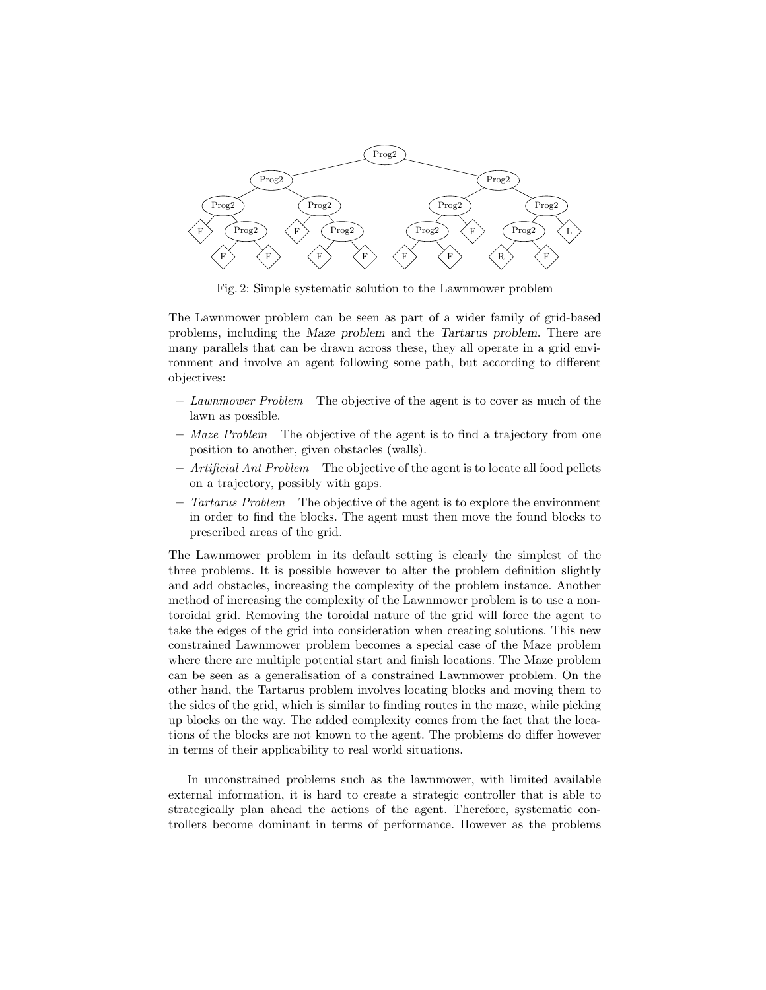<span id="page-5-0"></span>

Fig. 2: Simple systematic solution to the Lawnmower problem

The Lawnmower problem can be seen as part of a wider family of grid-based problems, including the Maze problem and the Tartarus problem. There are many parallels that can be drawn across these, they all operate in a grid environment and involve an agent following some path, but according to different objectives:

- $-$  Lawnmower Problem The objective of the agent is to cover as much of the lawn as possible.
- $-$  Maze Problem The objective of the agent is to find a trajectory from one position to another, given obstacles (walls).
- $-$  Artificial Ant Problem The objective of the agent is to locate all food pellets on a trajectory, possibly with gaps.
- Tartarus Problem The objective of the agent is to explore the environment in order to find the blocks. The agent must then move the found blocks to prescribed areas of the grid.

The Lawnmower problem in its default setting is clearly the simplest of the three problems. It is possible however to alter the problem definition slightly and add obstacles, increasing the complexity of the problem instance. Another method of increasing the complexity of the Lawnmower problem is to use a nontoroidal grid. Removing the toroidal nature of the grid will force the agent to take the edges of the grid into consideration when creating solutions. This new constrained Lawnmower problem becomes a special case of the Maze problem where there are multiple potential start and finish locations. The Maze problem can be seen as a generalisation of a constrained Lawnmower problem. On the other hand, the Tartarus problem involves locating blocks and moving them to the sides of the grid, which is similar to finding routes in the maze, while picking up blocks on the way. The added complexity comes from the fact that the locations of the blocks are not known to the agent. The problems do differ however in terms of their applicability to real world situations.

In unconstrained problems such as the lawnmower, with limited available external information, it is hard to create a strategic controller that is able to strategically plan ahead the actions of the agent. Therefore, systematic controllers become dominant in terms of performance. However as the problems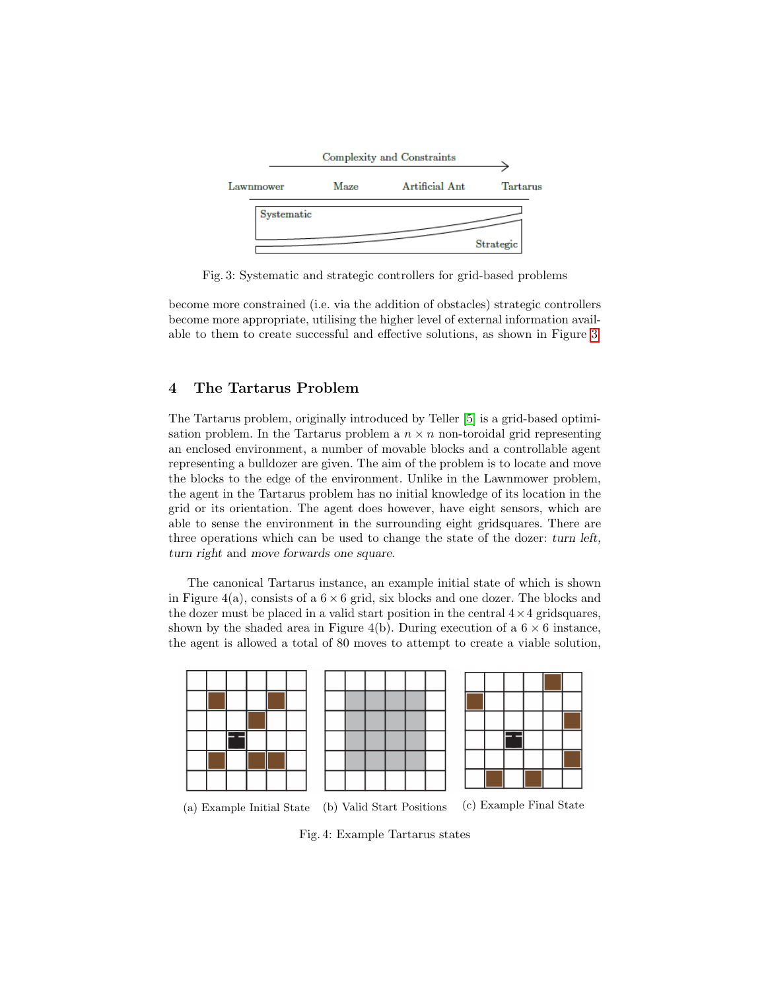<span id="page-6-1"></span>

Fig. 3: Systematic and strategic controllers for grid-based problems

become more constrained (i.e. via the addition of obstacles) strategic controllers become more appropriate, utilising the higher level of external information available to them to create successful and effective solutions, as shown in Figure [3.](#page-6-1)

## <span id="page-6-0"></span>4 The Tartarus Problem

The Tartarus problem, originally introduced by Teller [\[5\]](#page-15-8) is a grid-based optimisation problem. In the Tartarus problem a  $n \times n$  non-toroidal grid representing an enclosed environment, a number of movable blocks and a controllable agent representing a bulldozer are given. The aim of the problem is to locate and move the blocks to the edge of the environment. Unlike in the Lawnmower problem, the agent in the Tartarus problem has no initial knowledge of its location in the grid or its orientation. The agent does however, have eight sensors, which are able to sense the environment in the surrounding eight gridsquares. There are three operations which can be used to change the state of the dozer: turn left, turn right and move forwards one square.

The canonical Tartarus instance, an example initial state of which is shown in Figure 4(a), consists of a  $6 \times 6$  grid, six blocks and one dozer. The blocks and the dozer must be placed in a valid start position in the central  $4 \times 4$  gridsquares, shown by the shaded area in Figure 4(b). During execution of a  $6 \times 6$  instance, the agent is allowed a total of 80 moves to attempt to create a viable solution,



Fig. 4: Example Tartarus states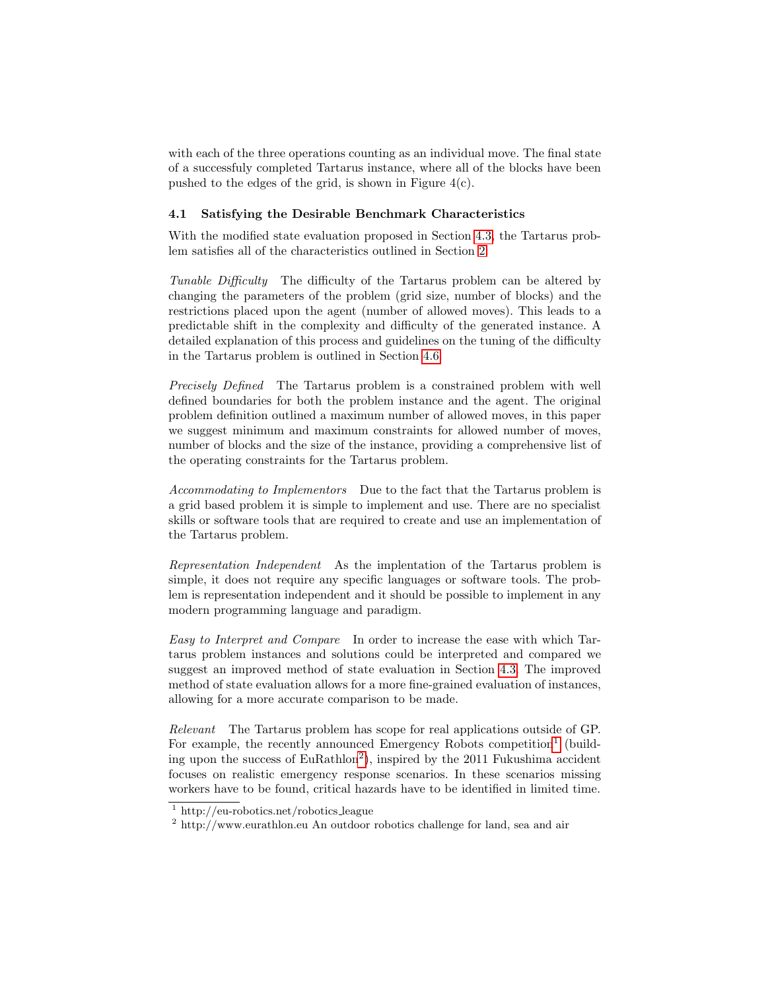with each of the three operations counting as an individual move. The final state of a successfuly completed Tartarus instance, where all of the blocks have been pushed to the edges of the grid, is shown in Figure 4(c).

#### 4.1 Satisfying the Desirable Benchmark Characteristics

With the modified state evaluation proposed in Section [4.3,](#page-9-0) the Tartarus problem satisfies all of the characteristics outlined in Section [2:](#page-1-0)

Tunable Difficulty The difficulty of the Tartarus problem can be altered by changing the parameters of the problem (grid size, number of blocks) and the restrictions placed upon the agent (number of allowed moves). This leads to a predictable shift in the complexity and difficulty of the generated instance. A detailed explanation of this process and guidelines on the tuning of the difficulty in the Tartarus problem is outlined in Section [4.6.](#page-13-0)

Precisely Defined The Tartarus problem is a constrained problem with well defined boundaries for both the problem instance and the agent. The original problem definition outlined a maximum number of allowed moves, in this paper we suggest minimum and maximum constraints for allowed number of moves, number of blocks and the size of the instance, providing a comprehensive list of the operating constraints for the Tartarus problem.

Accommodating to Implementors Due to the fact that the Tartarus problem is a grid based problem it is simple to implement and use. There are no specialist skills or software tools that are required to create and use an implementation of the Tartarus problem.

Representation Independent As the implentation of the Tartarus problem is simple, it does not require any specific languages or software tools. The problem is representation independent and it should be possible to implement in any modern programming language and paradigm.

Easy to Interpret and Compare In order to increase the ease with which Tartarus problem instances and solutions could be interpreted and compared we suggest an improved method of state evaluation in Section [4.3.](#page-9-0) The improved method of state evaluation allows for a more fine-grained evaluation of instances, allowing for a more accurate comparison to be made.

Relevant The Tartarus problem has scope for real applications outside of GP. For example, the recently announced Emergency Robots competition<sup>[1](#page-7-0)</sup> (building upon the success of EuRathlon[2](#page-7-1) ), inspired by the 2011 Fukushima accident focuses on realistic emergency response scenarios. In these scenarios missing workers have to be found, critical hazards have to be identified in limited time.

<span id="page-7-0"></span><sup>1</sup> http://eu-robotics.net/robotics league

<span id="page-7-1"></span> $2 \text{ http://www.eurathlon.eu An outdoor robotics challenge for land, sea and air}$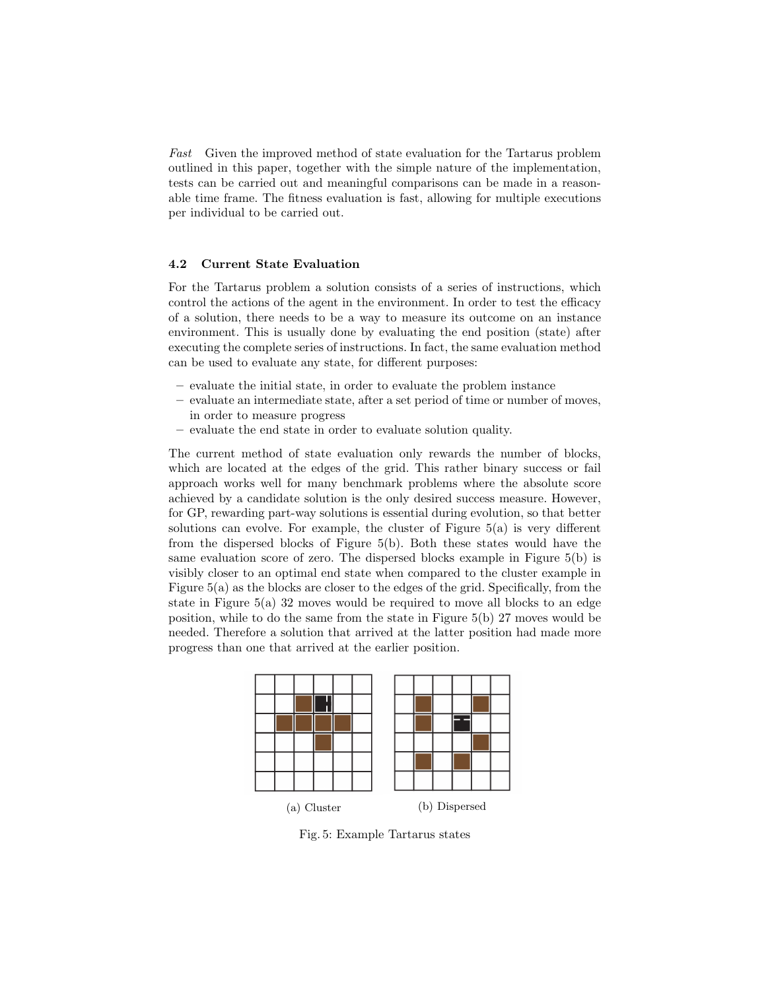Fast Given the improved method of state evaluation for the Tartarus problem outlined in this paper, together with the simple nature of the implementation, tests can be carried out and meaningful comparisons can be made in a reasonable time frame. The fitness evaluation is fast, allowing for multiple executions per individual to be carried out.

#### 4.2 Current State Evaluation

For the Tartarus problem a solution consists of a series of instructions, which control the actions of the agent in the environment. In order to test the efficacy of a solution, there needs to be a way to measure its outcome on an instance environment. This is usually done by evaluating the end position (state) after executing the complete series of instructions. In fact, the same evaluation method can be used to evaluate any state, for different purposes:

- evaluate the initial state, in order to evaluate the problem instance
- evaluate an intermediate state, after a set period of time or number of moves, in order to measure progress
- evaluate the end state in order to evaluate solution quality.

The current method of state evaluation only rewards the number of blocks, which are located at the edges of the grid. This rather binary success or fail approach works well for many benchmark problems where the absolute score achieved by a candidate solution is the only desired success measure. However, for GP, rewarding part-way solutions is essential during evolution, so that better solutions can evolve. For example, the cluster of Figure 5(a) is very different from the dispersed blocks of Figure 5(b). Both these states would have the same evaluation score of zero. The dispersed blocks example in Figure 5(b) is visibly closer to an optimal end state when compared to the cluster example in Figure 5(a) as the blocks are closer to the edges of the grid. Specifically, from the state in Figure  $5(a)$  32 moves would be required to move all blocks to an edge position, while to do the same from the state in Figure 5(b) 27 moves would be needed. Therefore a solution that arrived at the latter position had made more progress than one that arrived at the earlier position.



Fig. 5: Example Tartarus states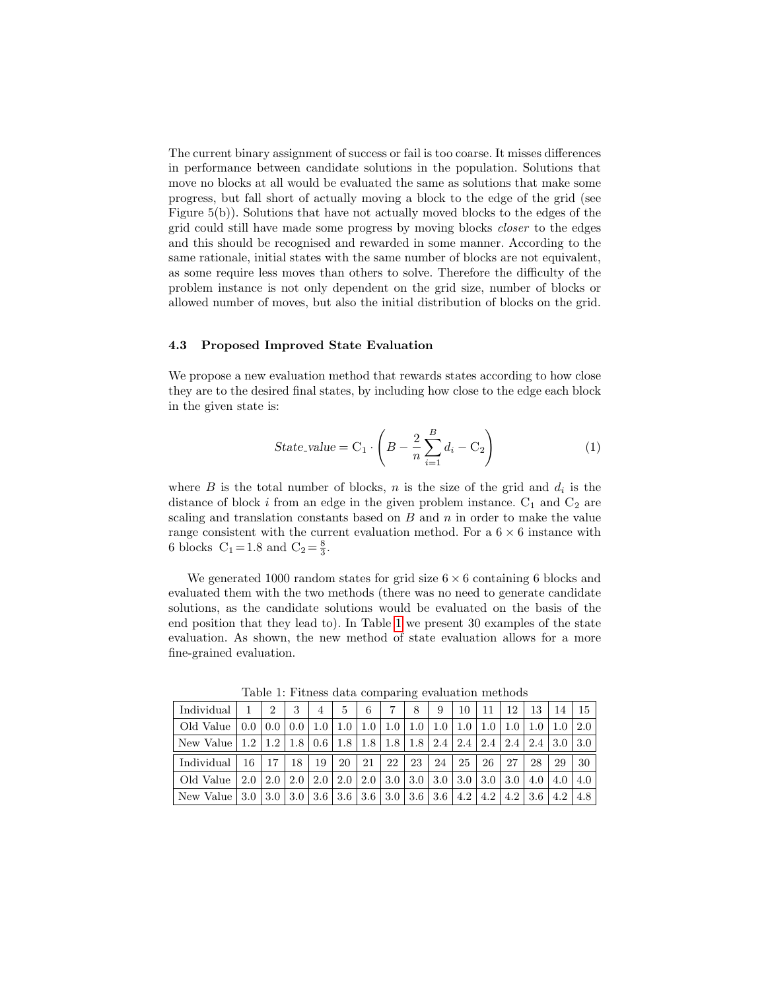The current binary assignment of success or fail is too coarse. It misses differences in performance between candidate solutions in the population. Solutions that move no blocks at all would be evaluated the same as solutions that make some progress, but fall short of actually moving a block to the edge of the grid (see Figure 5(b)). Solutions that have not actually moved blocks to the edges of the grid could still have made some progress by moving blocks closer to the edges and this should be recognised and rewarded in some manner. According to the same rationale, initial states with the same number of blocks are not equivalent, as some require less moves than others to solve. Therefore the difficulty of the problem instance is not only dependent on the grid size, number of blocks or allowed number of moves, but also the initial distribution of blocks on the grid.

#### <span id="page-9-0"></span>4.3 Proposed Improved State Evaluation

We propose a new evaluation method that rewards states according to how close they are to the desired final states, by including how close to the edge each block in the given state is:

$$
State_value = C_1 \cdot \left( B - \frac{2}{n} \sum_{i=1}^{B} d_i - C_2 \right) \tag{1}
$$

where  $B$  is the total number of blocks,  $n$  is the size of the grid and  $d_i$  is the distance of block i from an edge in the given problem instance.  $C_1$  and  $C_2$  are scaling and translation constants based on  $B$  and  $n$  in order to make the value range consistent with the current evaluation method. For a  $6 \times 6$  instance with 6 blocks  $C_1 = 1.8$  and  $C_2 = \frac{8}{3}$ .

We generated 1000 random states for grid size  $6 \times 6$  containing 6 blocks and evaluated them with the two methods (there was no need to generate candidate solutions, as the candidate solutions would be evaluated on the basis of the end position that they lead to). In Table [1](#page-9-1) we present 30 examples of the state evaluation. As shown, the new method of state evaluation allows for a more fine-grained evaluation.

Table 1: Fitness data comparing evaluation methods

<span id="page-9-1"></span>

| Individual                                                                                                                                           | $\overline{2}$ | 3         | 4  | 5 | 6                         | 8         | 9 | 10    | 11 | 12 | 13 | 14 | 15  |
|------------------------------------------------------------------------------------------------------------------------------------------------------|----------------|-----------|----|---|---------------------------|-----------|---|-------|----|----|----|----|-----|
| Old Value $\mid 0.0 \mid 0.0 \mid 0.0 \mid 1.0 \mid 1.0 \mid 1.0 \mid 1.0 \mid 1.0 \mid 1.0 \mid 1.0 \mid 1.0 \mid 1.0 \mid 1.0 \mid 1.0 \mid 2.0$   |                |           |    |   |                           |           |   |       |    |    |    |    |     |
| New Value   1.2   1.2   1.8   0.6   1.8   1.8   1.8   1.8   2.4   2.4   2.4   2.4   2.4   3.0   3.0                                                  |                |           |    |   |                           |           |   |       |    |    |    |    |     |
| Individual                                                                                                                                           | $16$   17      | <b>18</b> | 19 |   | $20 \mid 21 \mid 22 \mid$ | <b>23</b> |   | 24 25 | 26 | 27 | 28 | 29 | 30  |
| Old Value $\mid$ 2.0 $\mid$ 2.0 $\mid$ 2.0 $\mid$ 2.0 $\mid$ 2.0 $\mid$ 3.0 $\mid$ 3.0 $\mid$ 3.0 $\mid$ 3.0 $\mid$ 3.0 $\mid$ 4.0 $\mid$ 4.0 $\mid$ |                |           |    |   |                           |           |   |       |    |    |    |    | 4.0 |
| New Value   3.0   3.0   3.0   3.6   3.6   3.6   3.0   3.6   3.6   4.2   4.2   4.2   3.6   4.2   4.8                                                  |                |           |    |   |                           |           |   |       |    |    |    |    |     |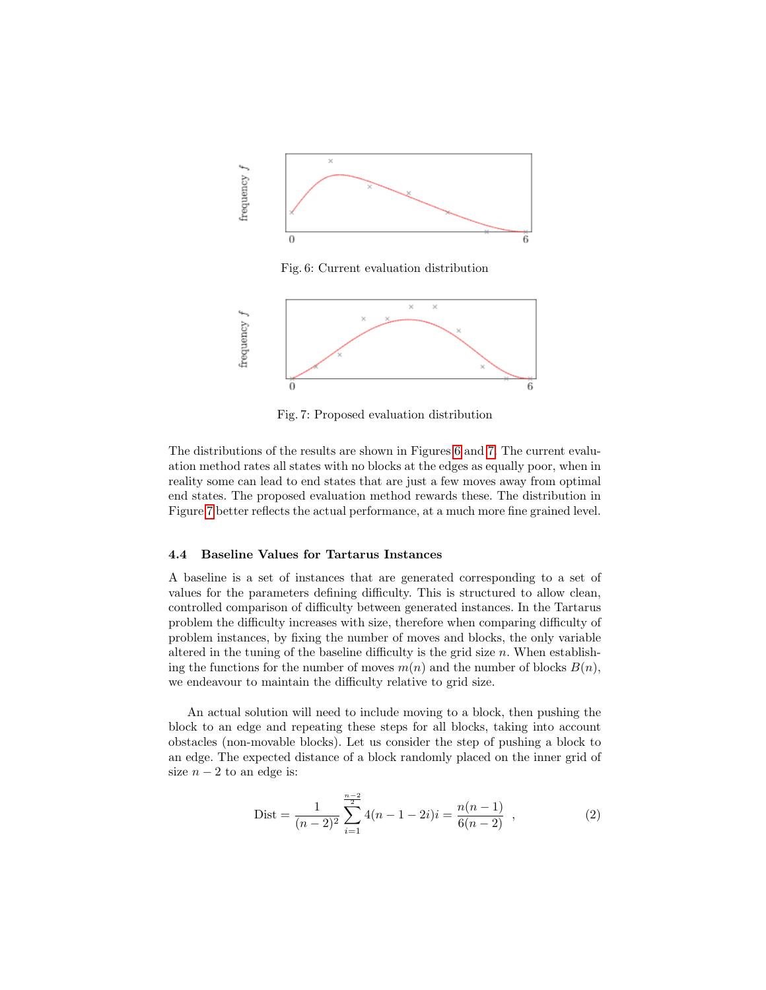<span id="page-10-1"></span><span id="page-10-0"></span>

Fig. 7: Proposed evaluation distribution

6

The distributions of the results are shown in Figures [6](#page-10-0) and [7.](#page-10-1) The current evaluation method rates all states with no blocks at the edges as equally poor, when in reality some can lead to end states that are just a few moves away from optimal end states. The proposed evaluation method rewards these. The distribution in Figure [7](#page-10-1) better reflects the actual performance, at a much more fine grained level.

#### 4.4 Baseline Values for Tartarus Instances

A baseline is a set of instances that are generated corresponding to a set of values for the parameters defining difficulty. This is structured to allow clean, controlled comparison of difficulty between generated instances. In the Tartarus problem the difficulty increases with size, therefore when comparing difficulty of problem instances, by fixing the number of moves and blocks, the only variable altered in the tuning of the baseline difficulty is the grid size  $n$ . When establishing the functions for the number of moves  $m(n)$  and the number of blocks  $B(n)$ , we endeavour to maintain the difficulty relative to grid size.

An actual solution will need to include moving to a block, then pushing the block to an edge and repeating these steps for all blocks, taking into account obstacles (non-movable blocks). Let us consider the step of pushing a block to an edge. The expected distance of a block randomly placed on the inner grid of size  $n-2$  to an edge is:

$$
Dist = \frac{1}{(n-2)^2} \sum_{i=1}^{\frac{n-2}{2}} 4(n-1-2i)i = \frac{n(n-1)}{6(n-2)},
$$
\n(2)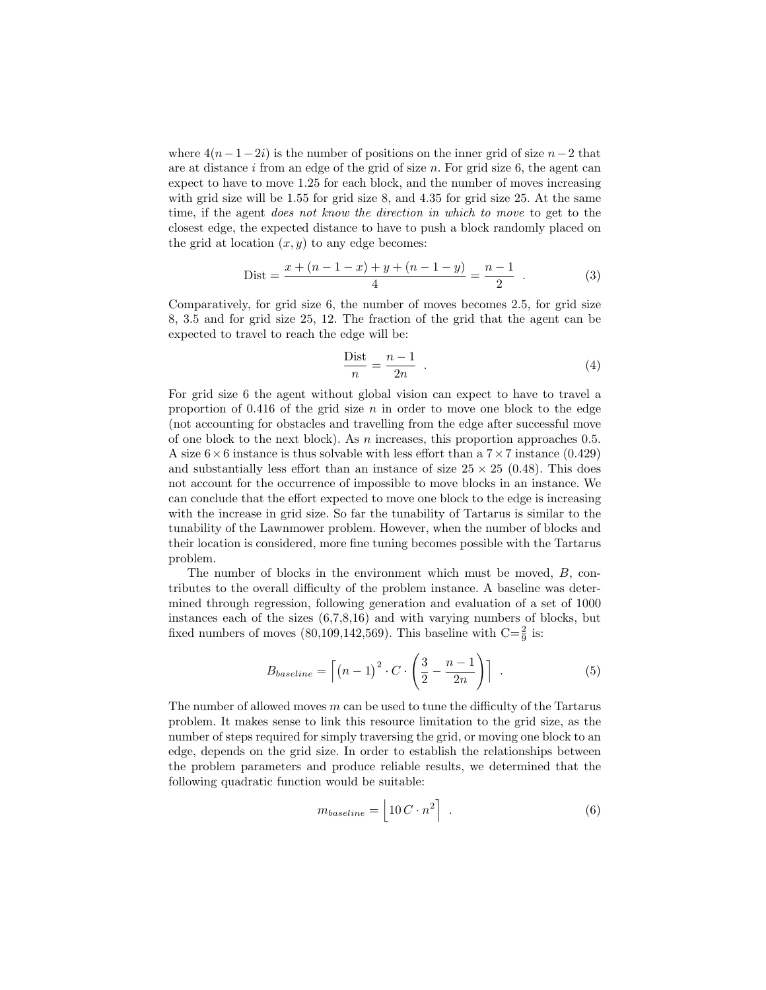where  $4(n-1-2i)$  is the number of positions on the inner grid of size  $n-2$  that are at distance  $i$  from an edge of the grid of size  $n$ . For grid size 6, the agent can expect to have to move 1.25 for each block, and the number of moves increasing with grid size will be 1.55 for grid size 8, and 4.35 for grid size 25. At the same time, if the agent does not know the direction in which to move to get to the closest edge, the expected distance to have to push a block randomly placed on the grid at location  $(x, y)$  to any edge becomes:

$$
Dist = \frac{x + (n - 1 - x) + y + (n - 1 - y)}{4} = \frac{n - 1}{2} .
$$
 (3)

Comparatively, for grid size 6, the number of moves becomes 2.5, for grid size 8, 3.5 and for grid size 25, 12. The fraction of the grid that the agent can be expected to travel to reach the edge will be:

$$
\frac{\text{Dist}}{n} = \frac{n-1}{2n} \tag{4}
$$

For grid size 6 the agent without global vision can expect to have to travel a proportion of 0.416 of the grid size n in order to move one block to the edge (not accounting for obstacles and travelling from the edge after successful move of one block to the next block). As n increases, this proportion approaches  $0.5$ . A size  $6 \times 6$  instance is thus solvable with less effort than a  $7 \times 7$  instance (0.429) and substantially less effort than an instance of size  $25 \times 25$  (0.48). This does not account for the occurrence of impossible to move blocks in an instance. We can conclude that the effort expected to move one block to the edge is increasing with the increase in grid size. So far the tunability of Tartarus is similar to the tunability of the Lawnmower problem. However, when the number of blocks and their location is considered, more fine tuning becomes possible with the Tartarus problem.

The number of blocks in the environment which must be moved, B, contributes to the overall difficulty of the problem instance. A baseline was determined through regression, following generation and evaluation of a set of 1000 instances each of the sizes (6,7,8,16) and with varying numbers of blocks, but fixed numbers of moves (80,109,142,569). This baseline with  $C = \frac{2}{9}$  is:

<span id="page-11-1"></span>
$$
B_{baseline} = \left[ \left( n - 1 \right)^2 \cdot C \cdot \left( \frac{3}{2} - \frac{n - 1}{2n} \right) \right] \tag{5}
$$

The number of allowed moves  $m$  can be used to tune the difficulty of the Tartarus problem. It makes sense to link this resource limitation to the grid size, as the number of steps required for simply traversing the grid, or moving one block to an edge, depends on the grid size. In order to establish the relationships between the problem parameters and produce reliable results, we determined that the following quadratic function would be suitable:

<span id="page-11-0"></span>
$$
m_{baseline} = \left\lfloor 10 \, C \cdot n^2 \right\rfloor \tag{6}
$$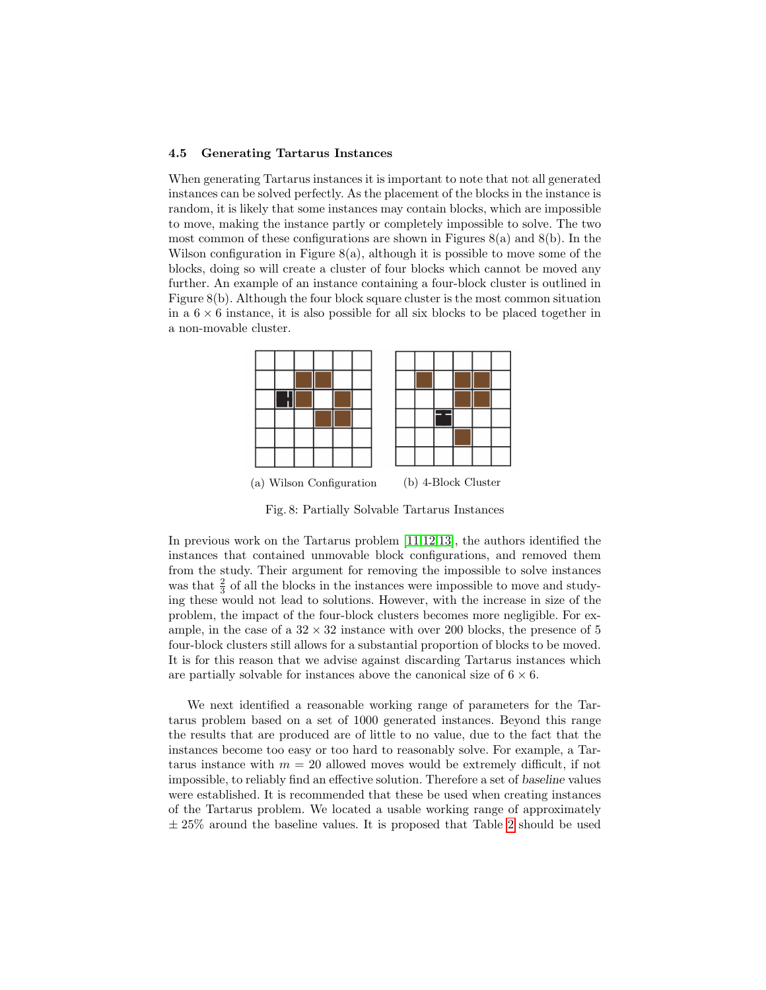#### 4.5 Generating Tartarus Instances

When generating Tartarus instances it is important to note that not all generated instances can be solved perfectly. As the placement of the blocks in the instance is random, it is likely that some instances may contain blocks, which are impossible to move, making the instance partly or completely impossible to solve. The two most common of these configurations are shown in Figures  $8(a)$  and  $8(b)$ . In the Wilson configuration in Figure  $8(a)$ , although it is possible to move some of the blocks, doing so will create a cluster of four blocks which cannot be moved any further. An example of an instance containing a four-block cluster is outlined in Figure 8(b). Although the four block square cluster is the most common situation in a  $6 \times 6$  instance, it is also possible for all six blocks to be placed together in a non-movable cluster.



Fig. 8: Partially Solvable Tartarus Instances

In previous work on the Tartarus problem [\[11](#page-15-9)[,12,](#page-15-10)[13\]](#page-15-11), the authors identified the instances that contained unmovable block configurations, and removed them from the study. Their argument for removing the impossible to solve instances was that  $\frac{2}{3}$  of all the blocks in the instances were impossible to move and studying these would not lead to solutions. However, with the increase in size of the problem, the impact of the four-block clusters becomes more negligible. For example, in the case of a  $32 \times 32$  instance with over 200 blocks, the presence of 5 four-block clusters still allows for a substantial proportion of blocks to be moved. It is for this reason that we advise against discarding Tartarus instances which are partially solvable for instances above the canonical size of  $6 \times 6$ .

We next identified a reasonable working range of parameters for the Tartarus problem based on a set of 1000 generated instances. Beyond this range the results that are produced are of little to no value, due to the fact that the instances become too easy or too hard to reasonably solve. For example, a Tartarus instance with  $m = 20$  allowed moves would be extremely difficult, if not impossible, to reliably find an effective solution. Therefore a set of baseline values were established. It is recommended that these be used when creating instances of the Tartarus problem. We located a usable working range of approximately  $\pm 25\%$  $\pm 25\%$  $\pm 25\%$  around the baseline values. It is proposed that Table 2 should be used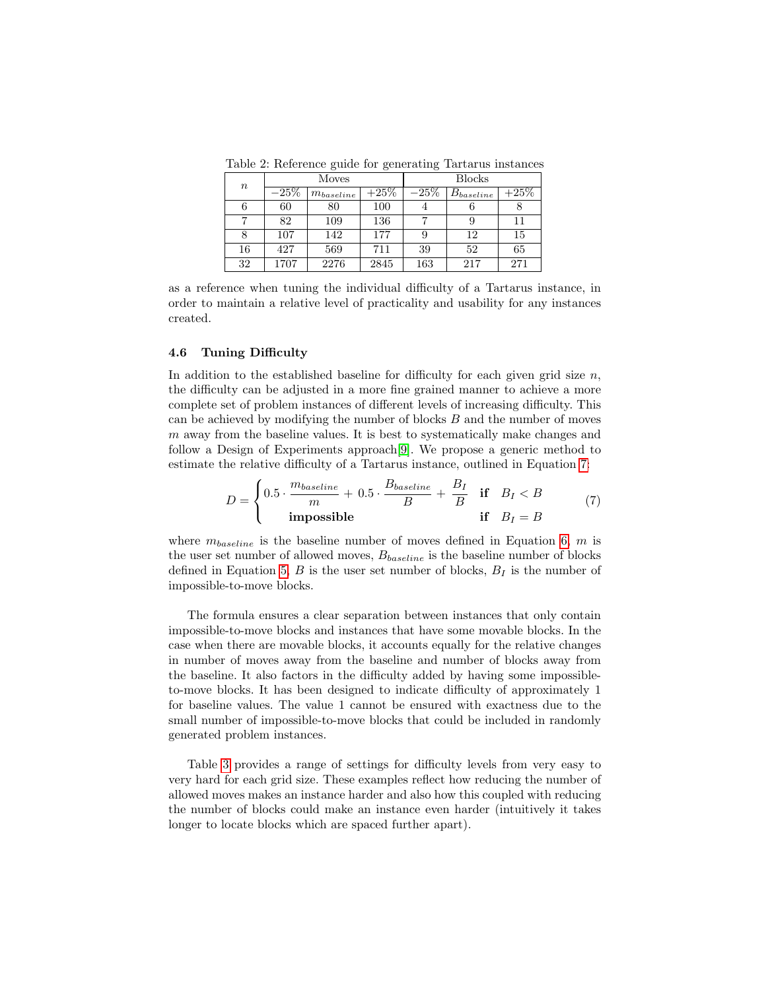| $\, n$ |         | <b>Moves</b>   |        | <b>Blocks</b> |                |         |  |  |
|--------|---------|----------------|--------|---------------|----------------|---------|--|--|
|        | $-25\%$ | $m_{baseline}$ | $+25%$ | $-25\%$       | $B_{baseline}$ | $+25\%$ |  |  |
|        | 60      | 80             | 100    |               |                |         |  |  |
|        | 82      | 109            | 136    |               |                | 11      |  |  |
|        | 107     | 142            | 177    |               | 12             | 15      |  |  |
| 16     | 427     | 569            | 711    | 39            | 52             | 65      |  |  |
| 32     | 1707    | 2276           | 2845   | 163           | 217            | 271     |  |  |

<span id="page-13-1"></span>Table 2: Reference guide for generating Tartarus instances

as a reference when tuning the individual difficulty of a Tartarus instance, in order to maintain a relative level of practicality and usability for any instances created.

#### <span id="page-13-0"></span>4.6 Tuning Difficulty

In addition to the established baseline for difficulty for each given grid size  $n$ , the difficulty can be adjusted in a more fine grained manner to achieve a more complete set of problem instances of different levels of increasing difficulty. This can be achieved by modifying the number of blocks  $B$  and the number of moves m away from the baseline values. It is best to systematically make changes and follow a Design of Experiments approach[\[9\]](#page-15-12). We propose a generic method to estimate the relative difficulty of a Tartarus instance, outlined in Equation [7:](#page-13-2)

<span id="page-13-2"></span>
$$
D = \begin{cases} 0.5 \cdot \frac{m_{baseline}}{m} + 0.5 \cdot \frac{B_{baseline}}{B} + \frac{B_I}{B} & \text{if } B_I < B \\ \text{impossible} & \text{if } B_I = B \end{cases} \tag{7}
$$

where  $m_{baseline}$  is the baseline number of moves defined in Equation [6,](#page-11-0) m is the user set number of allowed moves,  $B_{baseline}$  is the baseline number of blocks defined in Equation [5,](#page-11-1)  $B$  is the user set number of blocks,  $B<sub>I</sub>$  is the number of impossible-to-move blocks.

The formula ensures a clear separation between instances that only contain impossible-to-move blocks and instances that have some movable blocks. In the case when there are movable blocks, it accounts equally for the relative changes in number of moves away from the baseline and number of blocks away from the baseline. It also factors in the difficulty added by having some impossibleto-move blocks. It has been designed to indicate difficulty of approximately 1 for baseline values. The value 1 cannot be ensured with exactness due to the small number of impossible-to-move blocks that could be included in randomly generated problem instances.

Table [3](#page-14-1) provides a range of settings for difficulty levels from very easy to very hard for each grid size. These examples reflect how reducing the number of allowed moves makes an instance harder and also how this coupled with reducing the number of blocks could make an instance even harder (intuitively it takes longer to locate blocks which are spaced further apart).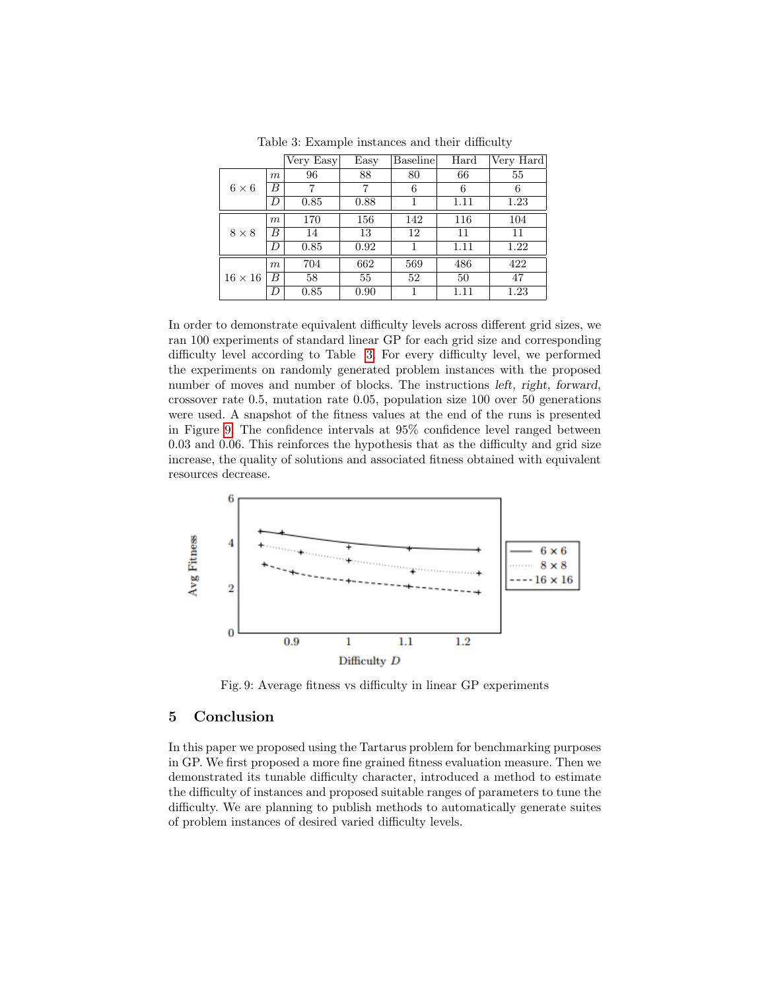<span id="page-14-1"></span>

|                |   | Very Easy | Easy | Baseline | Hard | Very Hard |
|----------------|---|-----------|------|----------|------|-----------|
| $6 \times 6$   | m | 96        | 88   | 80       | 66   | 55        |
|                | B |           |      | 6        | 6    | 6         |
|                | D | 0.85      | 0.88 |          | 1.11 | 1.23      |
| $8 \times 8$   | m | 170       | 156  | 142      | 116  | 104       |
|                | В | 14        | 13   | 12       | 11   | 11        |
|                | D | 0.85      | 0.92 | 1        | 1.11 | 1.22      |
| $16 \times 16$ | m | 704       | 662  | 569      | 486  | 422       |
|                | B | 58        | 55   | 52       | 50   | 47        |
|                | D | 0.85      | 0.90 |          | 1.11 | 1.23      |

Table 3: Example instances and their difficulty

In order to demonstrate equivalent difficulty levels across different grid sizes, we ran 100 experiments of standard linear GP for each grid size and corresponding difficulty level according to Table [3.](#page-14-1) For every difficulty level, we performed the experiments on randomly generated problem instances with the proposed number of moves and number of blocks. The instructions left, right, forward, crossover rate 0.5, mutation rate 0.05, population size 100 over 50 generations were used. A snapshot of the fitness values at the end of the runs is presented in Figure [9.](#page-14-2) The confidence intervals at 95% confidence level ranged between 0.03 and 0.06. This reinforces the hypothesis that as the difficulty and grid size increase, the quality of solutions and associated fitness obtained with equivalent resources decrease.

<span id="page-14-2"></span>

Fig. 9: Average fitness vs difficulty in linear GP experiments

### <span id="page-14-0"></span>5 Conclusion

In this paper we proposed using the Tartarus problem for benchmarking purposes in GP. We first proposed a more fine grained fitness evaluation measure. Then we demonstrated its tunable difficulty character, introduced a method to estimate the difficulty of instances and proposed suitable ranges of parameters to tune the difficulty. We are planning to publish methods to automatically generate suites of problem instances of desired varied difficulty levels.